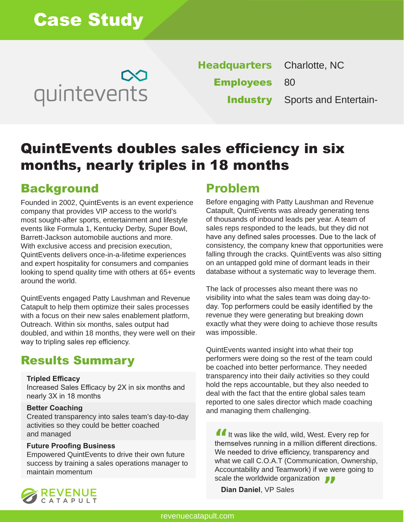

**Headquarters Employees Industry** Sports and Entertain-Charlotte, NC 80

# QuintEvents doubles sales efficiency in six months, nearly triples in 18 months

## Background Problem

Founded in 2002, QuintEvents is an event experience company that provides VIP access to the world's most sought-after sports, entertainment and lifestyle events like Formula 1, Kentucky Derby, Super Bowl, Barrett-Jackson automobile auctions and more. With exclusive access and precision execution, QuintEvents delivers once-in-a-lifetime experiences and expert hospitality for consumers and companies looking to spend quality time with others at 65+ events around the world.

QuintEvents engaged Patty Laushman and Revenue Catapult to help them optimize their sales processes with a focus on their new sales enablement platform, Outreach. Within six months, sales output had doubled, and within 18 months, they were well on their way to tripling sales rep efficiency.

## Results Summary

#### **Tripled Efficacy**

Increased Sales Efficacy by 2X in six months and nearly 3X in 18 months

#### **Better Coaching**

Created transparency into sales team's day-to-day activities so they could be better coached and managed

#### **Future Proofing Business**

Empowered QuintEvents to drive their own future success by training a sales operations manager to maintain momentum

Before engaging with Patty Laushman and Revenue Catapult, QuintEvents was already generating tens of thousands of inbound leads per year. A team of sales reps responded to the leads, but they did not have any defined sales processes. Due to the lack of consistency, the company knew that opportunities were falling through the cracks. QuintEvents was also sitting on an untapped gold mine of dormant leads in their database without a systematic way to leverage them.

The lack of processes also meant there was no visibility into what the sales team was doing day-today. Top performers could be easily identified by the revenue they were generating but breaking down exactly what they were doing to achieve those results was impossible.

QuintEvents wanted insight into what their top performers were doing so the rest of the team could be coached into better performance. They needed transparency into their daily activities so they could hold the reps accountable, but they also needed to deal with the fact that the entire global sales team reported to one sales director which made coaching and managing them challenging.

It was like the wild, wild, West. Every rep for<br>themselves running in a million different direction themselves running in a million different directions. We needed to drive efficiency, transparency and what we call C.O.A.T (Communication, Ownership, Accountability and Teamwork) if we were going to scale the worldwide organization<br>Dian Daniel, VP Sales

**Dian Daniel**, VP Sales

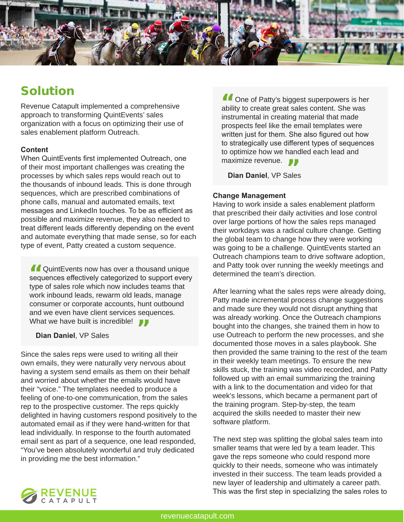

## Solution

Revenue Catapult implemented a comprehensive approach to transforming QuintEvents' sales organization with a focus on optimizing their use of sales enablement platform Outreach.

#### **Content**

When QuintEvents first implemented Outreach, one of their most important challenges was creating the processes by which sales reps would reach out to the thousands of inbound leads. This is done through sequences, which are prescribed combinations of phone calls, manual and automated emails, text messages and LinkedIn touches. To be as efficient as possible and maximize revenue, they also needed to treat different leads differently depending on the event and automate everything that made sense, so for each type of event, Patty created a custom sequence.

**A** QuintEvents now has over a thousand unique **1** QuintEvents now has over a thousand unique<br>sequences effectively categorized to support every type of sales role which now includes teams that work inbound leads, rewarm old leads, manage consumer or corporate accounts, hunt outbound and we even have client services sequences. What we have built is incredible!<br>Dian Daniel, VP Sales

**Dian Daniel**, VP Sales

Since the sales reps were used to writing all their own emails, they were naturally very nervous about having a system send emails as them on their behalf and worried about whether the emails would have their "voice." The templates needed to produce a feeling of one-to-one communication, from the sales rep to the prospective customer. The reps quickly delighted in having customers respond positively to the automated email as if they were hand-written for that lead individually. In response to the fourth automated email sent as part of a sequence, one lead responded, "You've been absolutely wonderful and truly dedicated in providing me the best information."

**I** One of Patty's biggest superpowers is her ability to create great sales content. She was ability to create great sales content. She was instrumental in creating material that made prospects feel like the email templates were written just for them. She also figured out how to strategically use different types of sequences to optimize how we handled each lead and

maximize revenue.<br>**Dian Daniel**, VP Sale **Dian Daniel**, VP Sales

#### **Change Management**

Having to work inside a sales enablement platform that prescribed their daily activities and lose control over large portions of how the sales reps managed their workdays was a radical culture change. Getting the global team to change how they were working was going to be a challenge. QuintEvents started an Outreach champions team to drive software adoption, and Patty took over running the weekly meetings and determined the team's direction.

After learning what the sales reps were already doing, Patty made incremental process change suggestions and made sure they would not disrupt anything that was already working. Once the Outreach champions bought into the changes, she trained them in how to use Outreach to perform the new processes, and she documented those moves in a sales playbook. She then provided the same training to the rest of the team in their weekly team meetings. To ensure the new skills stuck, the training was video recorded, and Patty followed up with an email summarizing the training with a link to the documentation and video for that week's lessons, which became a permanent part of the training program. Step-by-step, the team acquired the skills needed to master their new software platform.

The next step was splitting the global sales team into smaller teams that were led by a team leader. This gave the reps someone who could respond more quickly to their needs, someone who was intimately invested in their success. The team leads provided a new layer of leadership and ultimately a career path. This was the first step in specializing the sales roles to

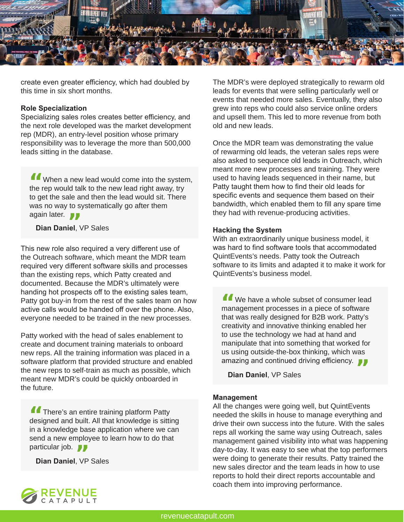

create even greater efficiency, which had doubled by this time in six short months.

#### **Role Specialization**

Specializing sales roles creates better efficiency, and the next role developed was the market development rep (MDR), an entry-level position whose primary responsibility was to leverage the more than 500,000 leads sitting in the database.

When a new lead would come into the system, I When a new lead would come into the syster<br>the rep would talk to the new lead right away, try to get the sale and then the lead would sit. There was no way to systematically go after them again later.

<sub>gain later.<br>**Dian Daniel**, VP Sales</sub>

This new role also required a very different use of the Outreach software, which meant the MDR team required very different software skills and processes than the existing reps, which Patty created and documented. Because the MDR's ultimately were handing hot prospects off to the existing sales team, Patty got buy-in from the rest of the sales team on how active calls would be handed off over the phone. Also, everyone needed to be trained in the new processes.

Patty worked with the head of sales enablement to create and document training materials to onboard new reps. All the training information was placed in a software platform that provided structure and enabled the new reps to self-train as much as possible, which meant new MDR's could be quickly onboarded in the future.

**There's an entire training platform Patty 1** There's an entire training platform Patty designed and built. All that knowledge is sitting in a knowledge base application where we can send a new employee to learn how to do that particular job. **77** 

<sub>articular job.<br>**Dian Daniel**, VP Sales</sub>

The MDR's were deployed strategically to rewarm old leads for events that were selling particularly well or events that needed more sales. Eventually, they also grew into reps who could also service online orders and upsell them. This led to more revenue from both old and new leads.

Once the MDR team was demonstrating the value of rewarming old leads, the veteran sales reps were also asked to sequence old leads in Outreach, which meant more new processes and training. They were used to having leads sequenced in their name, but Patty taught them how to find their old leads for specific events and sequence them based on their bandwidth, which enabled them to fill any spare time they had with revenue-producing activities.

#### **Hacking the System**

With an extraordinarily unique business model, it was hard to find software tools that accommodated QuintEvents's needs. Patty took the Outreach software to its limits and adapted it to make it work for QuintEvents's business model.

We have a whole subset of consumer lead I We have a whole subset of consumer lead<br>management processes in a piece of software that was really designed for B2B work. Patty's creativity and innovative thinking enabled her to use the technology we had at hand and manipulate that into something that worked for us using outside-the-box thinking, which was amazing and continued driving efficiency.<br>**Dian Daniel**, VP Sales

**Dian Daniel**, VP Sales

#### **Management**

All the changes were going well, but QuintEvents needed the skills in house to manage everything and drive their own success into the future. With the sales reps all working the same way using Outreach, sales management gained visibility into what was happening day-to-day. It was easy to see what the top performers were doing to generate their results. Patty trained the new sales director and the team leads in how to use reports to hold their direct reports accountable and coach them into improving performance.